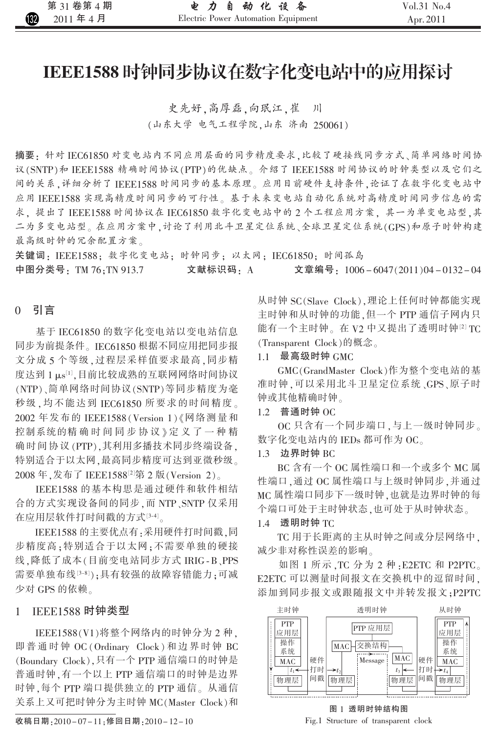# IEEE1588 时钟同步协议在数字化变电站中的应用探讨

史先好,高厚磊,向珉江,崔  $\left| \right|$ (山东大学 电气工程学院,山东 济南 250061)

摘要: 针对 IEC61850 对变电站内不同应用层面的同步精度要求,比较了硬接线同步方式、简单网络时间协 议(SNTP)和 IEEE1588 精确时间协议(PTP)的优缺点。介绍了 IEEE1588 时间协议的时钟类型以及它们之 间的关系,详细分析了IEEE1588时间同步的基本原理。应用目前硬件支持条件,论证了在数字化变电站中 应用 IEEE1588 实现高精度时间同步的可行性。基于未来变电站自动化系统对高精度时间同步信息的需 求, 提出了 IEEE1588 时间协议在 IEC61850 数字化变电站中的2个工程应用方案, 其一为单变电站型,其 二为多变电站型。在应用方案中,讨论了利用北斗卫星定位系统、全球卫星定位系统(GPS)和原子时钟构建 最高级时钟的冗余配置方案。

关键词: IEEE1588; 数字化变电站; 时钟同步; 以太网; IEC61850; 时间孤岛 中图分类号: TM 76: TN 913.7 文献标识码: A 文章编号: $1006 - 6047(2011)04 - 0132 - 04$ 

# 0 引言

基于 IEC61850 的数字化变电站以变电站信息 同步为前提条件。IEC61850 根据不同应用把同步报 文分成5个等级,过程层采样值要求最高,同步精 度达到 1 μs[1],目前比较成熟的互联网网络时间协议 (NTP)、简单网络时间协议(SNTP)等同步精度为毫 秒级,均不能达到 IEC61850 所要求的时间精度。 2002年发布的 IEEE1588 (Version 1) 《网络测量和 控制系统的精确时间同步协议》定义了一种精 确时间协议(PTP),其利用多播技术同步终端设备, 特别适合于以太网,最高同步精度可达到亚微秒级。 2008年,发布了 IEEE1588<sup>[2]</sup>第2版(Version 2)。

IEEE1588 的基本构思是通过硬件和软件相结 合的方式实现设备间的同步,而 NTP、SNTP 仅采用 在应用层软件打时间戳的方式[3-4]。

IEEE1588 的主要优点有:采用硬件打时间戳,同 步精度高:特别适合于以太网;不需要单独的硬接 线 .降低了成本(目前变电站同步方式 IRIG-B、PPS 需要单独布线[3-8]);具有较强的故障容错能力;可减 少对 GPS 的依赖。

#### **IEEE1588 时钟类型**  $\mathbf{1}$

IEEE1588(V1)将整个网络内的时钟分为2种. 即普通时钟 OC (Ordinary Clock)和边界时钟 BC (Boundary Clock), 只有一个 PTP 通信端口的时钟是 普通时钟,有一个以上 PTP 通信端口的时钟是边界 时钟,每个 PTP 端口提供独立的 PTP 通信。从通信 关系上又可把时钟分为主时钟 MC(Master Clock)和

收稿日期: 2010-07-11: 修回日期: 2010-12-10

从时钟 SC(Slave Clock),理论上任何时钟都能实现 主时钟和从时钟的功能,但一个 PTP 通信子网内只 能有一个主时钟。在 V2 中又提出了透明时钟[2] TC (Transparent Clock)的概念。

### 1.1 最高级时钟 GMC

GMC(GrandMaster Clock)作为整个变电站的基 准时钟,可以采用北斗卫星定位系统、GPS、原子时 钟或其他精确时钟。

#### 1.2 普通时钟 OC

OC 只含有一个同步端口,与上一级时钟同步。 数字化变电站内的 IEDs 都可作为 OC。

### 1.3 边界时钟 BC

BC 含有一个 OC 属性端口和一个或多个 MC 属 性端口, 通过 OC 属性端口与上级时钟同步, 并通过 MC 属性端口同步下一级时钟,也就是边界时钟的每 个端口可处于主时钟状态,也可处于从时钟状态。

#### $1.4$  透明时钟 TC

TC 用于长距离的主从时钟之间或分层网络中, 减少非对称性误差的影响。

如图 1 所示, TC 分为 2 种: E2ETC 和 P2PTC。 E2ETC 可以测量时间报文在交换机中的逗留时间。 添加到同步报文或跟随报文中并转发报文: P2PTC



图 1 透明时钟结构图 Fig.1 Structure of transparent clock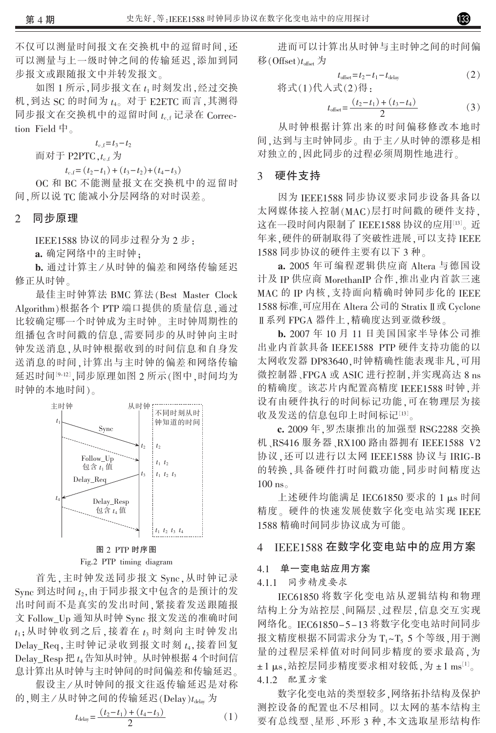不仅可以测量时间报文在交换机中的逗留时间,还 可以测量与上一级时钟之间的传输延迟,添加到同 步报文或跟随报文中并转发报文。

如图 1 所示, 同步报文在 t<sub>1</sub> 时刻发出, 经过交换 机,到达 SC 的时间为 $t_{40}$  对于 E2ETC 而言,其测得 同步报文在交换机中的逗留时间 te.f 记录在 Correction Field  $\overline{\mathsf{H}}$ .

 $t_{c,f} = t_3 - t_2$ 

而对于 P2PTC. $t_{cf}$  为

 $t_{c,f} = (t_2-t_1) + (t_3-t_2) + (t_4-t_3)$ 

OC 和 BC 不能测量报文在交换机中的逗留时 间. 所以说 TC 能减小分层网络的对时误差。

#### 同步原理  $\overline{2}$

IEEE1588 协议的同步过程分为 2 步:

a. 确定网络中的主时钟:

b. 通过计算主/从时钟的偏差和网络传输延迟 修正从时钟。

最佳主时钟算法 BMC 算法(Best Master Clock Algorithm)根据各个 PTP 端口提供的质量信息, 通过 比较确定哪一个时钟成为主时钟。主时钟周期性的 组播包含时间戳的信息,需要同步的从时钟向主时 钟发送消息,从时钟根据收到的时间信息和自身发 送消息的时间,计算出与主时钟的偏差和网络传输 延迟时间[9-12],同步原理如图 2 所示(图中,时间均为 时钟的本地时间)。



Fig.2 PTP timing diagram

首先,主时钟发送同步报文 Sync,从时钟记录 Sync 到达时间 t2,由于同步报文中包含的是预计的发 出时间而不是真实的发出时间,紧接着发送跟随报 文 Follow Up 通知从时钟 Sync 报文发送的准确时间  $t_1$ ;从时钟收到之后,接着在 $t_3$ 时刻向主时钟发出 Delay Req, 主时钟记录收到报文时刻  $t_4$ , 接着回复 Delay\_Resp 把 $t_4$  告知从时钟。从时钟根据 4 个时间信 息计算出从时钟与主时钟间的时间偏差和传输延迟。

假设主/从时钟间的报文往返传输延迟是对称 的,则主/从时钟之间的传输延迟(Delay) $t_{\text{delay}}$ 为

$$
t_{\text{delay}} = \frac{(t_2 - t_1) + (t_4 - t_3)}{2} \tag{1}
$$

进而可以计算出从时钟与主时钟之间的时间偏 移(Offset)t<sub>offset</sub> 为

$$
t_{\text{offset}} = t_2 - t_1 - t_{\text{delay}} \tag{2}
$$

$$
\#\vec{\mathbf{x}}(1)\#\lambda \vec{\mathbf{x}}(2)\ddot{\mathbf{\theta}};
$$

$$
t_{\text{offset}} = \frac{(t_2 - t_1) + (t_3 - t_4)}{2} \tag{3}
$$

从时钟根据计算出来的时间偏移修改本地时 间,达到与主时钟同步。由于主/从时钟的漂移是相 对独立的,因此同步的过程必须周期性地进行。

### 3 硬件支持

因为 IEEE1588 同步协议要求同步设备具备以 太网媒体接入控制(MAC)层打时间戳的硬件支持, 这在一段时间内限制了 IEEE1588 协议的应用[13]。近 年来,硬件的研制取得了突破性进展,可以支持 IEEE 1588 同步协议的硬件主要有以下 3 种。

a. 2005 年可编程逻辑供应商 Altera 与德国设 计及 IP 供应商 MorethanIP 合作, 推出业内首款三速 MAC 的 IP 内核, 支持面向精确时钟同步化的 IEEE 1588 标准,可应用在 Altera 公司的 Stratix Ⅱ 或 Cyclone Ⅱ系列 FPGA 器件上,精确度达到亚微秒级。

b. 2007年10月11日美国国家半导体公司推 出业内首款具备 IEEE1588 PTP 硬件支持功能的以 太网收发器 DP83640,时钟精确性能表现非凡,可用 微控制器、FPGA 或 ASIC 进行控制,并实现高达 8 ns 的精确度。该芯片内配置高精度 IEEE1588 时钟,并 设有由硬件执行的时间标记功能,可在物理层为接 收及发送的信息包印上时间标记[13]。

c. 2009年. 罗杰康推出的加强型 RSG2288 交换 机、RS416 服务器、RX100 路由器拥有 IEEE1588 V2 协议, 还可以进行以太网 IEEE1588 协议与 IRIG-B 的转换,具备硬件打时间戳功能,同步时间精度达  $100$  ns.

上述硬件均能满足 IEC61850 要求的 1 µs 时间 精度。硬件的快速发展使数字化变电站实现 IEEE 1588 精确时间同步协议成为可能。

#### IEEE1588 在数字化变电站中的应用方案  $\overline{4}$

### 4.1 单一变电站应用方案

4.1.1 同步精度要求

IEC61850 将数字化变电站从逻辑结构和物理 结构上分为站控层、间隔层、过程层,信息交互实现 网络化。IEC61850-5-13 将数字化变电站时间同步 报文精度根据不同需求分为 T1~T5 5 个等级,用于测 量的过程层采样值对时间同步精度的要求最高,为 ±1 µs, 站控层同步精度要求相对较低, 为 ±1 ms[1]。 4.1.2 配置方案

数字化变电站的类型较多,网络拓扑结构及保护 测控设备的配置也不尽相同。以太网的基本结构主 要有总线型、星形、环形3种,本文选取星形结构作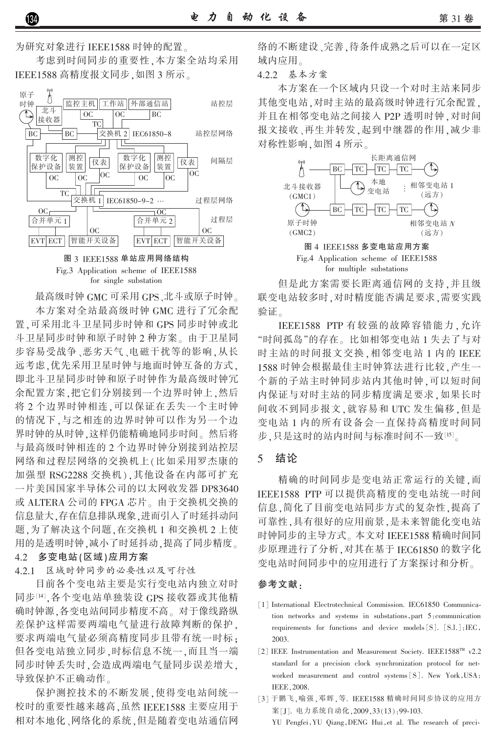为研究对象进行 IEEE1588 时钟的配置。

考虑到时间同步的重要性,本方案全站均采用 IEEE1588 高精度报文同步,如图 3 所示。



图 3 IEEE1588 单站应用网络结构 Fig.3 Application scheme of IEEE1588 for single substation

最高级时钟 GMC 可采用 GPS、北斗或原子时钟。 本方案对全站最高级时钟 GMC 进行了冗余配 置.可采用北斗卫星同步时钟和 GPS 同步时钟或北 斗卫星同步时钟和原子时钟2种方案。由于卫星同 步容易受战争、恶劣天气、电磁干扰等的影响,从长 远考虑,优先采用卫星时钟与地面时钟互备的方式, 即北斗卫星同步时钟和原子时钟作为最高级时钟冗 余配置方案.把它们分别接到一个边界时钟上.然后 将2个边界时钟相连,可以保证在丢失一个主时钟 的情况下,与之相连的边界时钟可以作为另一个边 界时钟的从时钟,这样仍能精确地同步时间。然后将 与最高级时钟相连的2个边界时钟分别接到站控层 网络和过程层网络的交换机上(比如采用罗杰康的 加强型 RSG2288 交换机),其他设备在内部可扩充 一片美国国家半导体公司的以太网收发器 DP83640 或 ALTERA 公司的 FPGA 芯片。由于交换机交换的 信息量大,存在信息排队现象,进而引入了时延抖动问 题.为了解决这个问题.在交换机1和交换机2上使 用的是透明时钟,减小了时延抖动,提高了同步精度。

#### 4.2 多变电站(区域)应用方案

4.2.1 区域时钟同步的必要性以及可行性

目前各个变电站主要是实行变电站内独立对时 同步[14], 各个变电站单独装设 GPS 接收器或其他精 确时钟源,各变电站间同步精度不高。对于像线路纵 差保护这样需要两端电气量进行故障判断的保护, 要求两端电气量必须高精度同步且带有统一时标: 但各变电站独立同步,时标信息不统一,而且当一端 同步时钟丢失时,会造成两端电气量同步误差增大, 导致保护不正确动作。

保护测控技术的不断发展,使得变电站间统一 校时的重要性越来越高,虽然 IEEE1588 主要应用于 相对本地化、网络化的系统,但是随着变电站通信网 络的不断建设、完善,待条件成熟之后可以在一定区 域内应用。

4.2.2 基本方案

本方案在一个区域内只设一个对时主站来同步 其他变电站,对时主站的最高级时钟进行冗余配置, 并且在相邻变电站之间接入 P2P 透明时钟, 对时间 报文接收、再生并转发,起到中继器的作用,减少非 对称性影响,如图 4 所示。



但是此方案需要长距离通信网的支持,并且级 联变电站较多时,对时精度能否满足要求,需要实践 验证。

IEEE1588 PTP 有较强的故障容错能力,允许 "时间孤岛"的存在。比如相邻变电站1失去了与对 时主站的时间报文交换,相邻变电站1内的 IEEE 1588 时钟会根据最佳主时钟算法进行比较,产生一 个新的子站主时钟同步站内其他时钟,可以短时间 内保证与对时主站的同步精度满足要求,如果长时 间收不到同步报文, 就容易和 UTC 发生偏移, 但是 变电站 1 内的所有设备会一直保持高精度时间同 步.只是这时的站内时间与标准时间不一致[15]。

#### 结论  $\overline{5}$

精确的时间同步是变电站正常运行的关键,而 IEEE1588 PTP 可以提供高精度的变电站统一时间 信息,简化了目前变电站同步方式的复杂性,提高了 可靠性,具有很好的应用前景,是未来智能化变电站 时钟同步的主导方式。本文对 IEEE1588 精确时间同 步原理进行了分析, 对其在基于 IEC61850 的数字化 变电站时间同步中的应用进行了方案探讨和分析。

#### 参考文献.

- [1] International Electrotechnical Commission. IEC61850 Communication networks and systems in substations, part 5; communication requirements for functions and device models [S]. [S.l.]:IEC, 2003.
- [2] IEEE Instrumentation and Measurement Society. IEEE1588™ v2.2 standard for a precision clock synchronization protocol for networked measurement and control systems [S]. New York, USA: **IEEE.2008.**
- [3] 于鹏飞, 喻强, 邓辉, 等. IEEE1588 精确时间同步协议的应用方 案[J]. 电力系统自动化, 2009, 33(13): 99-103. YU Pengfei, YU Qiang, DENG Hui, et al. The research of preci-